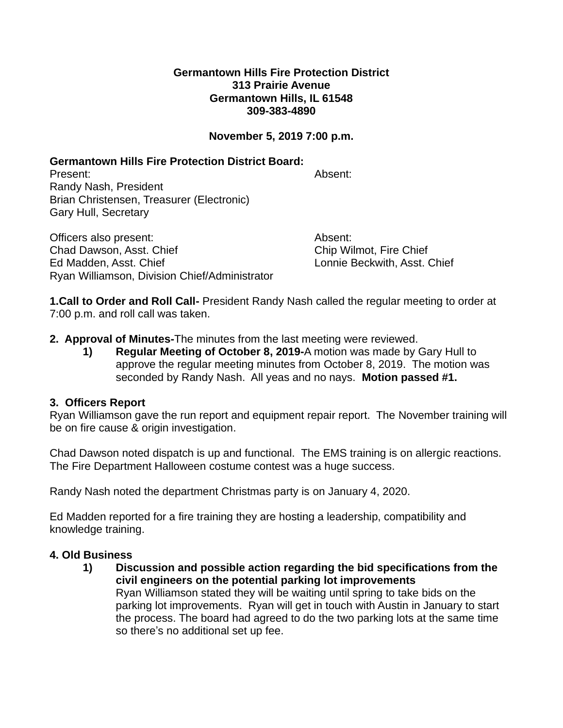### **Germantown Hills Fire Protection District 313 Prairie Avenue Germantown Hills, IL 61548 309-383-4890**

# **November 5, 2019 7:00 p.m.**

# **Germantown Hills Fire Protection District Board:**

Present: Absent: Randy Nash, President Brian Christensen, Treasurer (Electronic) Gary Hull, Secretary

Officers also present: Absent: Absent: Absent: Chad Dawson, Asst. Chief Chief Chip Wilmot, Fire Chief Ed Madden, Asst. Chief Lonnie Beckwith, Asst. Chief Ryan Williamson, Division Chief/Administrator

**1.Call to Order and Roll Call-** President Randy Nash called the regular meeting to order at 7:00 p.m. and roll call was taken.

- **2. Approval of Minutes-**The minutes from the last meeting were reviewed.
	- **1) Regular Meeting of October 8, 2019-**A motion was made by Gary Hull to approve the regular meeting minutes from October 8, 2019. The motion was seconded by Randy Nash. All yeas and no nays. **Motion passed #1.**

# **3. Officers Report**

Ryan Williamson gave the run report and equipment repair report. The November training will be on fire cause & origin investigation.

Chad Dawson noted dispatch is up and functional. The EMS training is on allergic reactions. The Fire Department Halloween costume contest was a huge success.

Randy Nash noted the department Christmas party is on January 4, 2020.

Ed Madden reported for a fire training they are hosting a leadership, compatibility and knowledge training.

# **4. Old Business**

**1) Discussion and possible action regarding the bid specifications from the civil engineers on the potential parking lot improvements** Ryan Williamson stated they will be waiting until spring to take bids on the parking lot improvements. Ryan will get in touch with Austin in January to start the process. The board had agreed to do the two parking lots at the same time so there's no additional set up fee.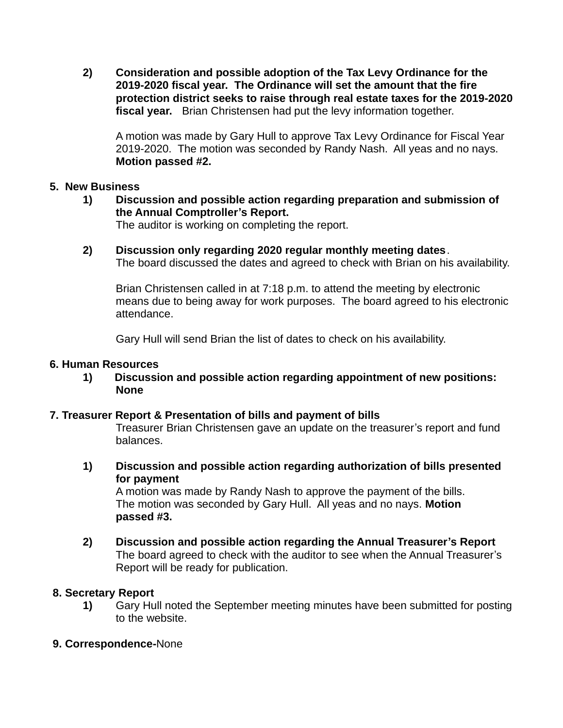**2) Consideration and possible adoption of the Tax Levy Ordinance for the 2019-2020 fiscal year. The Ordinance will set the amount that the fire protection district seeks to raise through real estate taxes for the 2019-2020 fiscal year.** Brian Christensen had put the levy information together.

A motion was made by Gary Hull to approve Tax Levy Ordinance for Fiscal Year 2019-2020. The motion was seconded by Randy Nash. All yeas and no nays. **Motion passed #2.**

### **5. New Business**

**1) Discussion and possible action regarding preparation and submission of the Annual Comptroller's Report.**

The auditor is working on completing the report.

**2) Discussion only regarding 2020 regular monthly meeting dates**. The board discussed the dates and agreed to check with Brian on his availability.

Brian Christensen called in at 7:18 p.m. to attend the meeting by electronic means due to being away for work purposes. The board agreed to his electronic attendance.

Gary Hull will send Brian the list of dates to check on his availability.

#### **6. Human Resources**

**1) Discussion and possible action regarding appointment of new positions: None**

# **7. Treasurer Report & Presentation of bills and payment of bills**

Treasurer Brian Christensen gave an update on the treasurer's report and fund balances.

**1) Discussion and possible action regarding authorization of bills presented for payment**

A motion was made by Randy Nash to approve the payment of the bills. The motion was seconded by Gary Hull. All yeas and no nays. **Motion passed #3.**

**2) Discussion and possible action regarding the Annual Treasurer's Report** The board agreed to check with the auditor to see when the Annual Treasurer's Report will be ready for publication.

# **8. Secretary Report**

**1)** Gary Hull noted the September meeting minutes have been submitted for posting to the website.

# **9. Correspondence-**None